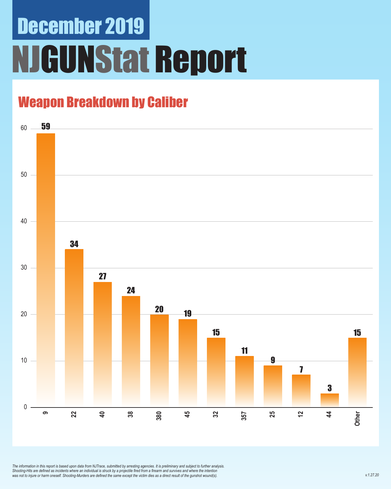# December 2019 NJGUNStat Report

### Weapon Breakdown by Caliber



*The information in this report is based upon data from NJTrace, submitted by arresting agencies. It is preliminary and subject to further analysis. Shooting-Hits are defined as incidents where an individual is struck by a projectile fired from a firearm and survives and where the intention was not to injure or harm oneself. Shooting-Murders are defined the same except the victim dies as a direct result of the gunshot wound(s).*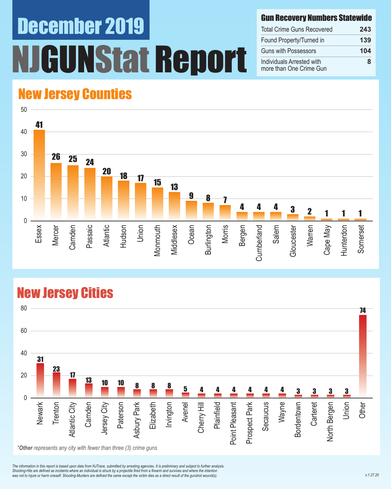# December 2019 NStat Report

#### Gun Recovery Numbers Statewide

| <b>Total Crime Guns Recovered</b>                    | 243 |  |
|------------------------------------------------------|-----|--|
| Found Property/Turned in                             | 139 |  |
| <b>Guns with Possessors</b>                          | 104 |  |
| Individuals Arrested with<br>more than One Crime Gun | ឧ   |  |

#### New Jersey Counties



#### New Jersey Cities



*The information in this report is based upon data from NJTrace, submitted by arresting agencies. It is preliminary and subject to further analysis. Shooting-Hits are defined as incidents where an individual is struck by a projectile fired from a firearm and survives and where the intention*  was not to injure or harm oneself. Shooting-Murders are defined the same except the victim dies as a direct result of the gunshot wound(s).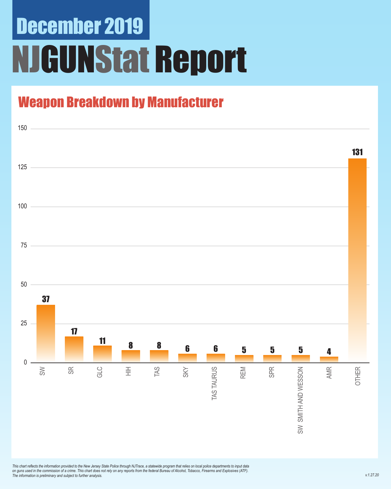## December 2019 NJGUNStat Report

### Weapon Breakdown by Manufacturer



*This chart reflects the information provided to the New Jersey State Police through NJTrace, a statewide program that relies on local police departments to input data on guns used in the commission of a crime. This chart does not rely on any reports from the federal Bureau of Alcohol, Tobacco, Firearms and Explosives (ATF). The information is preliminary and subject to further analysis.*